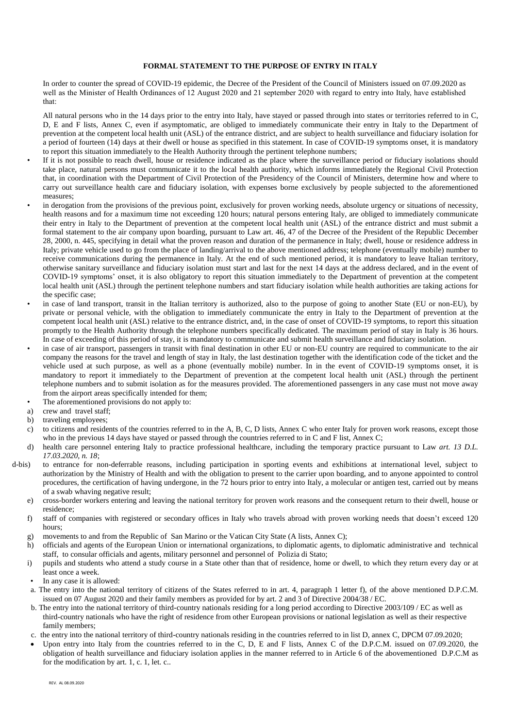## **FORMAL STATEMENT TO THE PURPOSE OF ENTRY IN ITALY**

In order to counter the spread of COVID-19 epidemic, the Decree of the President of the Council of Ministers issued on 07.09.2020 as well as the Minister of Health Ordinances of 12 August 2020 and 21 september 2020 with regard to entry into Italy, have established that:

All natural persons who in the 14 days prior to the entry into Italy, have stayed or passed through into states or territories referred to in C, D, E and F lists, Annex C, even if asymptomatic, are obliged to immediately communicate their entry in Italy to the Department of prevention at the competent local health unit (ASL) of the entrance district, and are subject to health surveillance and fiduciary isolation for a period of fourteen (14) days at their dwell or house as specified in this statement. In case of COVID-19 symptoms onset, it is mandatory to report this situation immediately to the Health Authority through the pertinent telephone numbers;

- If it is not possible to reach dwell, house or residence indicated as the place where the surveillance period or fiduciary isolations should take place, natural persons must communicate it to the local health authority, which informs immediately the Regional Civil Protection that, in coordination with the Department of Civil Protection of the Presidency of the Council of Ministers, determine how and where to carry out surveillance health care and fiduciary isolation, with expenses borne exclusively by people subjected to the aforementioned measures;
- in derogation from the provisions of the previous point, exclusively for proven working needs, absolute urgency or situations of necessity, health reasons and for a maximum time not exceeding 120 hours; natural persons entering Italy, are obliged to immediately communicate their entry in Italy to the Department of prevention at the competent local health unit (ASL) of the entrance district and must submit a formal statement to the air company upon boarding, pursuant to Law art. 46, 47 of the Decree of the President of the Republic December 28, 2000, n. 445, specifying in detail what the proven reason and duration of the permanence in Italy; dwell, house or residence address in Italy; private vehicle used to go from the place of landing/arrival to the above mentioned address; telephone (eventually mobile) number to receive communications during the permanence in Italy. At the end of such mentioned period, it is mandatory to leave Italian territory, otherwise sanitary surveillance and fiduciary isolation must start and last for the next 14 days at the address declared, and in the event of COVID-19 symptoms' onset, it is also obligatory to report this situation immediately to the Department of prevention at the competent local health unit (ASL) through the pertinent telephone numbers and start fiduciary isolation while health authorities are taking actions for the specific case;
- in case of land transport, transit in the Italian territory is authorized, also to the purpose of going to another State (EU or non-EU), by private or personal vehicle, with the obligation to immediately communicate the entry in Italy to the Department of prevention at the competent local health unit (ASL) relative to the entrance district, and, in the case of onset of COVID-19 symptoms, to report this situation promptly to the Health Authority through the telephone numbers specifically dedicated. The maximum period of stay in Italy is 36 hours. In case of exceeding of this period of stay, it is mandatory to communicate and submit health surveillance and fiduciary isolation.
- in case of air transport, passengers in transit with final destination in other EU or non-EU country are required to communicate to the air company the reasons for the travel and length of stay in Italy, the last destination together with the identification code of the ticket and the vehicle used at such purpose, as well as a phone (eventually mobile) number. In in the event of COVID-19 symptoms onset, it is mandatory to report it immediately to the Department of prevention at the competent local health unit (ASL) through the pertinent telephone numbers and to submit isolation as for the measures provided. The aforementioned passengers in any case must not move away from the airport areas specifically intended for them;
- The aforementioned provisions do not apply to:
- a) crew and travel staff;
- b) traveling employees;
- c) to citizens and residents of the countries referred to in the A, B, C, D lists, Annex C who enter Italy for proven work reasons, except those who in the previous 14 days have stayed or passed through the countries referred to in C and F list, Annex C;
- d) health care personnel entering Italy to practice professional healthcare, including the temporary practice pursuant to Law *art. 13 D.L. 17.03.2020, n. 18*;
- d-bis) to entrance for non-deferrable reasons, including participation in sporting events and exhibitions at international level, subject to authorization by the Ministry of Health and with the obligation to present to the carrier upon boarding, and to anyone appointed to control procedures, the certification of having undergone, in the 72 hours prior to entry into Italy, a molecular or antigen test, carried out by means of a swab whaving negative result;
	- e) cross-border workers entering and leaving the national territory for proven work reasons and the consequent return to their dwell, house or residence;
	- f) staff of companies with registered or secondary offices in Italy who travels abroad with proven working needs that doesn't exceed 120 hours<sup>.</sup>
	- g) movements to and from the Republic of San Marino or the Vatican City State (A lists, Annex C);
	- h) officials and agents of the European Union or international organizations, to diplomatic agents, to diplomatic administrative and technical staff, to consular officials and agents, military personnel and personnel of Polizia di Stato;
	- i) pupils and students who attend a study course in a State other than that of residence, home or dwell, to which they return every day or at least once a week.
	- In any case it is allowed:
	- a. The entry into the national territory of citizens of the States referred to in art. 4, paragraph 1 letter f), of the above mentioned D.P.C.M. issued on 07 August 2020 and their family members as provided for by art. 2 and 3 of Directive 2004/38 / EC.
	- b. The entry into the national territory of third-country nationals residing for a long period according to Directive 2003/109 / EC as well as third-country nationals who have the right of residence from other European provisions or national legislation as well as their respective family members;
	- c. the entry into the national territory of third-country nationals residing in the countries referred to in list D, annex C, DPCM 07.09.2020;
	- Upon entry into Italy from the countries referred to in the C, D, E and F lists, Annex C of the D.P.C.M. issued on 07.09.2020, the obligation of health surveillance and fiduciary isolation applies in the manner referred to in Article 6 of the abovementioned D.P.C.M as for the modification by art. 1, c. 1, let. c..